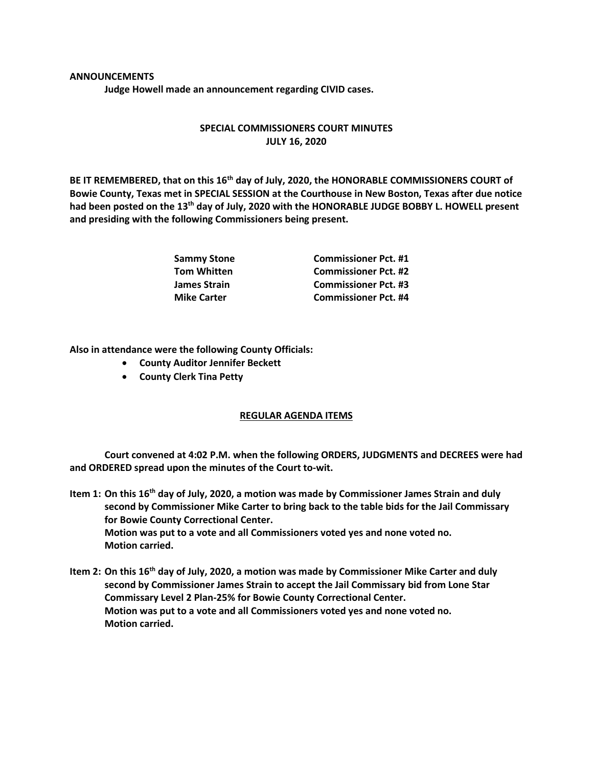## **ANNOUNCEMENTS**

**Judge Howell made an announcement regarding CIVID cases.**

## **SPECIAL COMMISSIONERS COURT MINUTES JULY 16, 2020**

**BE IT REMEMBERED, that on this 16th day of July, 2020, the HONORABLE COMMISSIONERS COURT of Bowie County, Texas met in SPECIAL SESSION at the Courthouse in New Boston, Texas after due notice had been posted on the 13th day of July, 2020 with the HONORABLE JUDGE BOBBY L. HOWELL present and presiding with the following Commissioners being present.**

| Sammy Stone        | <b>Commissioner Pct. #1</b> |
|--------------------|-----------------------------|
| Tom Whitten        | <b>Commissioner Pct. #2</b> |
| James Strain       | <b>Commissioner Pct. #3</b> |
| <b>Mike Carter</b> | <b>Commissioner Pct. #4</b> |

**Also in attendance were the following County Officials:**

- **County Auditor Jennifer Beckett**
- **County Clerk Tina Petty**

## **REGULAR AGENDA ITEMS**

**Court convened at 4:02 P.M. when the following ORDERS, JUDGMENTS and DECREES were had and ORDERED spread upon the minutes of the Court to-wit.**

- **Item 1: On this 16th day of July, 2020, a motion was made by Commissioner James Strain and duly second by Commissioner Mike Carter to bring back to the table bids for the Jail Commissary for Bowie County Correctional Center. Motion was put to a vote and all Commissioners voted yes and none voted no. Motion carried.**
- **Item 2: On this 16th day of July, 2020, a motion was made by Commissioner Mike Carter and duly second by Commissioner James Strain to accept the Jail Commissary bid from Lone Star Commissary Level 2 Plan-25% for Bowie County Correctional Center. Motion was put to a vote and all Commissioners voted yes and none voted no. Motion carried.**